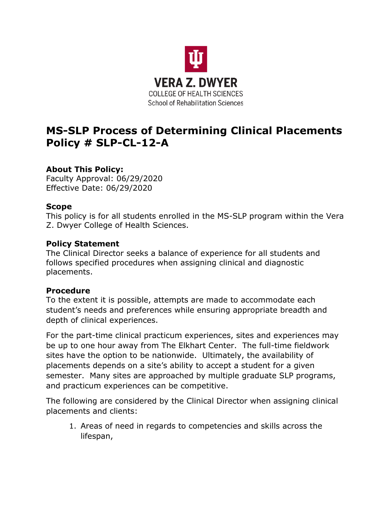

# **MS-SLP Process of Determining Clinical Placements Policy # SLP-CL-12-A**

## **About This Policy:**

Faculty Approval: 06/29/2020 Effective Date: 06/29/2020

### **Scope**

This policy is for all students enrolled in the MS-SLP program within the Vera Z. Dwyer College of Health Sciences.

#### **Policy Statement**

The Clinical Director seeks a balance of experience for all students and follows specified procedures when assigning clinical and diagnostic placements.

### **Procedure**

To the extent it is possible, attempts are made to accommodate each student's needs and preferences while ensuring appropriate breadth and depth of clinical experiences.

For the part-time clinical practicum experiences, sites and experiences may be up to one hour away from The Elkhart Center. The full-time fieldwork sites have the option to be nationwide. Ultimately, the availability of placements depends on a site's ability to accept a student for a given semester. Many sites are approached by multiple graduate SLP programs, and practicum experiences can be competitive.

The following are considered by the Clinical Director when assigning clinical placements and clients:

1. Areas of need in regards to competencies and skills across the lifespan,